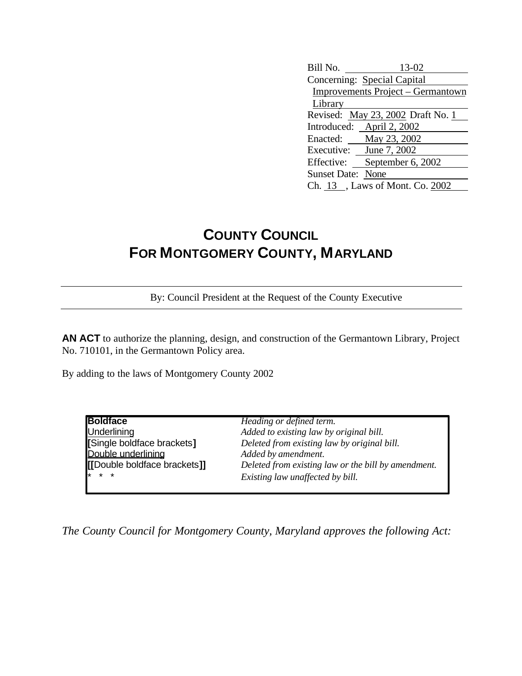| Bill No.                          | 13-02                       |  |
|-----------------------------------|-----------------------------|--|
|                                   | Concerning: Special Capital |  |
| Improvements Project – Germantown |                             |  |
| Library                           |                             |  |
| Revised: May 23, 2002 Draft No. 1 |                             |  |
|                                   | Introduced: April 2, 2002   |  |
| Enacted:                          | May 23, 2002                |  |
| Executive: June 7, 2002           |                             |  |
| Effective:                        | September 6, 2002           |  |
| <b>Sunset Date: None</b>          |                             |  |
| Ch. 13, Laws of Mont. Co. 2002    |                             |  |

## **COUNTY COUNCIL FOR MONTGOMERY COUNTY, MARYLAND**

By: Council President at the Request of the County Executive

**AN ACT** to authorize the planning, design, and construction of the Germantown Library, Project No. 710101, in the Germantown Policy area.

By adding to the laws of Montgomery County 2002

| <b>Boldface</b>              | Heading or defined term.                            |
|------------------------------|-----------------------------------------------------|
| <b>Underlining</b>           | Added to existing law by original bill.             |
| [Single boldface brackets]   | Deleted from existing law by original bill.         |
| Double underlining           | Added by amendment.                                 |
| [[Double boldface brackets]] | Deleted from existing law or the bill by amendment. |
| $* * *$                      | Existing law unaffected by bill.                    |

*The County Council for Montgomery County, Maryland approves the following Act:*